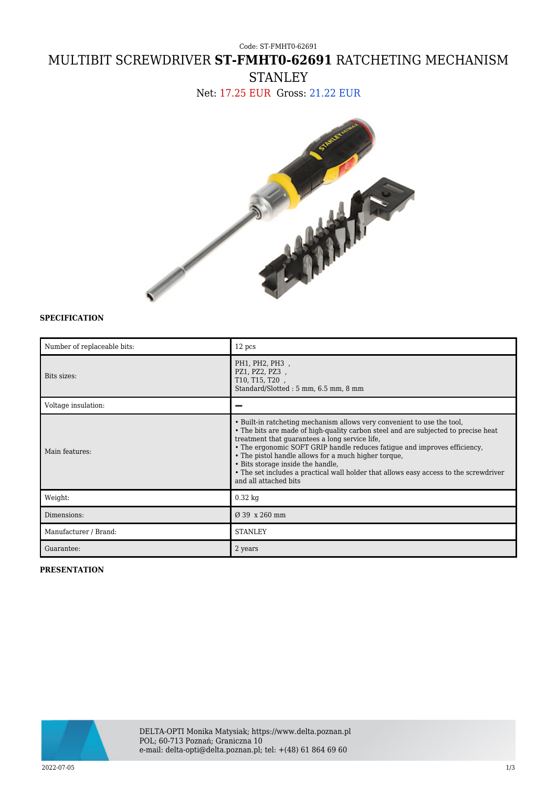## Code: ST-FMHT0-62691 MULTIBIT SCREWDRIVER **ST-FMHT0-62691** RATCHETING MECHANISM **STANLEY**

Net: 17.25 EUR Gross: 21.22 EUR



## **SPECIFICATION**

| Number of replaceable bits: | 12 pcs                                                                                                                                                                                                                                                                                                                                                                                                                                                                                                      |
|-----------------------------|-------------------------------------------------------------------------------------------------------------------------------------------------------------------------------------------------------------------------------------------------------------------------------------------------------------------------------------------------------------------------------------------------------------------------------------------------------------------------------------------------------------|
| Bits sizes:                 | PH1, PH2, PH3,<br>PZ1, PZ2, PZ3,<br>T10, T15, T20,<br>Standard/Slotted: 5 mm, 6.5 mm, 8 mm                                                                                                                                                                                                                                                                                                                                                                                                                  |
| Voltage insulation:         |                                                                                                                                                                                                                                                                                                                                                                                                                                                                                                             |
| Main features:              | • Built-in ratcheting mechanism allows very convenient to use the tool,<br>• The bits are made of high-quality carbon steel and are subjected to precise heat<br>treatment that guarantees a long service life,<br>• The ergonomic SOFT GRIP handle reduces fatigue and improves efficiency,<br>• The pistol handle allows for a much higher torque,<br>• Bits storage inside the handle,<br>• The set includes a practical wall holder that allows easy access to the screwdriver<br>and all attached bits |
| Weight:                     | $0.32$ kg                                                                                                                                                                                                                                                                                                                                                                                                                                                                                                   |
| Dimensions:                 | $(9.39 \times 260 \text{ mm})$                                                                                                                                                                                                                                                                                                                                                                                                                                                                              |
| Manufacturer / Brand:       | <b>STANLEY</b>                                                                                                                                                                                                                                                                                                                                                                                                                                                                                              |
| Guarantee:                  | 2 years                                                                                                                                                                                                                                                                                                                                                                                                                                                                                                     |

## **PRESENTATION**



DELTA-OPTI Monika Matysiak; https://www.delta.poznan.pl POL; 60-713 Poznań; Graniczna 10 e-mail: delta-opti@delta.poznan.pl; tel: +(48) 61 864 69 60

2022-07-05 1/3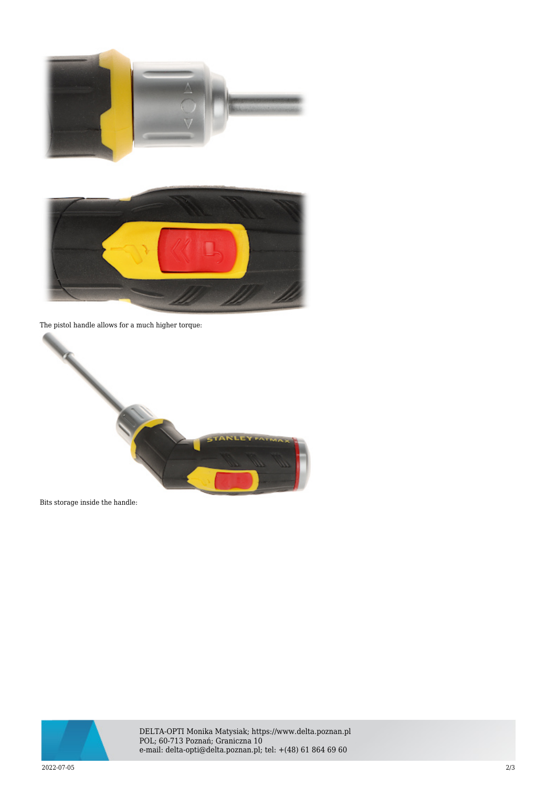



The pistol handle allows for a much higher torque:



Bits storage inside the handle:



DELTA-OPTI Monika Matysiak; https://www.delta.poznan.pl POL; 60-713 Poznań; Graniczna 10 e-mail: delta-opti@delta.poznan.pl; tel: +(48) 61 864 69 60

2022-07-05 2/3